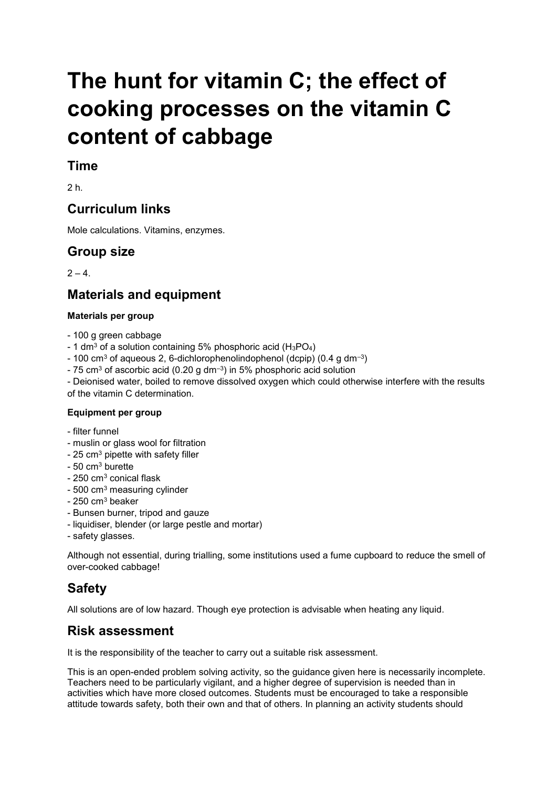# **The hunt for vitamin C; the effect of cooking processes on the vitamin C content of cabbage**

## **Time**

2 h.

## **Curriculum links**

Mole calculations. Vitamins, enzymes.

## **Group size**

 $2 - 4$ 

## **Materials and equipment**

#### **Materials per group**

- 100 g green cabbage
- 1 dm<sup>3</sup> of a solution containing 5% phosphoric acid  $(H_3PO_4)$
- 100 cm<sup>3</sup> of aqueous 2, 6-dichlorophenolindophenol (dcpip) (0.4 g dm<sup>-3</sup>)
- 75 cm<sup>3</sup> of ascorbic acid (0.20 g dm<sup>-3</sup>) in 5% phosphoric acid solution

- Deionised water, boiled to remove dissolved oxygen which could otherwise interfere with the results of the vitamin C determination.

#### **Equipment per group**

- filter funnel
- muslin or glass wool for filtration
- 25 cm<sup>3</sup> pipette with safety filler
- $-50$  cm<sup>3</sup> burette
- 250 cm<sup>3</sup> conical flask
- 500 cm<sup>3</sup> measuring cylinder
- $-250$  cm<sup>3</sup> beaker
- Bunsen burner, tripod and gauze
- liquidiser, blender (or large pestle and mortar)
- safety glasses.

Although not essential, during trialling, some institutions used a fume cupboard to reduce the smell of over-cooked cabbage!

## **Safety**

All solutions are of low hazard. Though eye protection is advisable when heating any liquid.

## **Risk assessment**

It is the responsibility of the teacher to carry out a suitable risk assessment.

This is an open-ended problem solving activity, so the guidance given here is necessarily incomplete. Teachers need to be particularly vigilant, and a higher degree of supervision is needed than in activities which have more closed outcomes. Students must be encouraged to take a responsible attitude towards safety, both their own and that of others. In planning an activity students should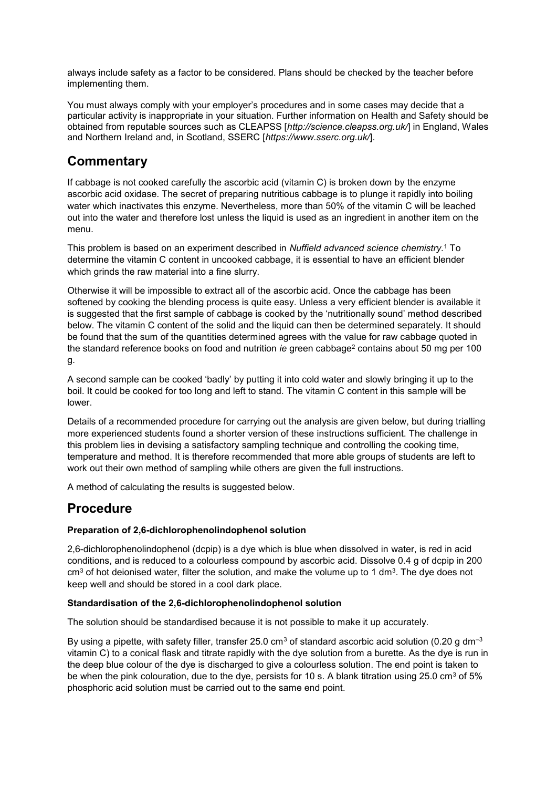always include safety as a factor to be considered. Plans should be checked by the teacher before implementing them.

You must always comply with your employer's procedures and in some cases may decide that a particular activity is inappropriate in your situation. Further information on Health and Safety should be obtained from reputable sources such as CLEAPSS [*http://science.cleapss.org.uk/*] in England, Wales and Northern Ireland and, in Scotland, SSERC [*https://www.sserc.org.uk/*].

## **Commentary**

If cabbage is not cooked carefully the ascorbic acid (vitamin C) is broken down by the enzyme ascorbic acid oxidase. The secret of preparing nutritious cabbage is to plunge it rapidly into boiling water which inactivates this enzyme. Nevertheless, more than 50% of the vitamin C will be leached out into the water and therefore lost unless the liquid is used as an ingredient in another item on the menu.

This problem is based on an experiment described in *Nuffield advanced science chemistry.*<sup>1</sup> To determine the vitamin C content in uncooked cabbage, it is essential to have an efficient blender which grinds the raw material into a fine slurry.

Otherwise it will be impossible to extract all of the ascorbic acid. Once the cabbage has been softened by cooking the blending process is quite easy. Unless a very efficient blender is available it is suggested that the first sample of cabbage is cooked by the 'nutritionally sound' method described below. The vitamin C content of the solid and the liquid can then be determined separately. It should be found that the sum of the quantities determined agrees with the value for raw cabbage quoted in the standard reference books on food and nutrition *ie* green cabbage<sup>2</sup> contains about 50 mg per 100 g.

A second sample can be cooked 'badly' by putting it into cold water and slowly bringing it up to the boil. It could be cooked for too long and left to stand. The vitamin C content in this sample will be lower.

Details of a recommended procedure for carrying out the analysis are given below, but during trialling more experienced students found a shorter version of these instructions sufficient. The challenge in this problem lies in devising a satisfactory sampling technique and controlling the cooking time, temperature and method. It is therefore recommended that more able groups of students are left to work out their own method of sampling while others are given the full instructions.

A method of calculating the results is suggested below.

## **Procedure**

#### **Preparation of 2,6-dichlorophenolindophenol solution**

2,6-dichlorophenolindophenol (dcpip) is a dye which is blue when dissolved in water, is red in acid conditions, and is reduced to a colourless compound by ascorbic acid. Dissolve 0.4 g of dcpip in 200  $\text{cm}^3$  of hot deionised water, filter the solution, and make the volume up to 1 dm<sup>3</sup>. The dye does not keep well and should be stored in a cool dark place.

#### **Standardisation of the 2,6-dichlorophenolindophenol solution**

The solution should be standardised because it is not possible to make it up accurately.

By using a pipette, with safety filler, transfer 25.0 cm<sup>3</sup> of standard ascorbic acid solution (0.20 g dm<sup>-3</sup>) vitamin C) to a conical flask and titrate rapidly with the dye solution from a burette. As the dye is run in the deep blue colour of the dye is discharged to give a colourless solution. The end point is taken to be when the pink colouration, due to the dye, persists for 10 s. A blank titration using 25.0 cm<sup>3</sup> of 5% phosphoric acid solution must be carried out to the same end point.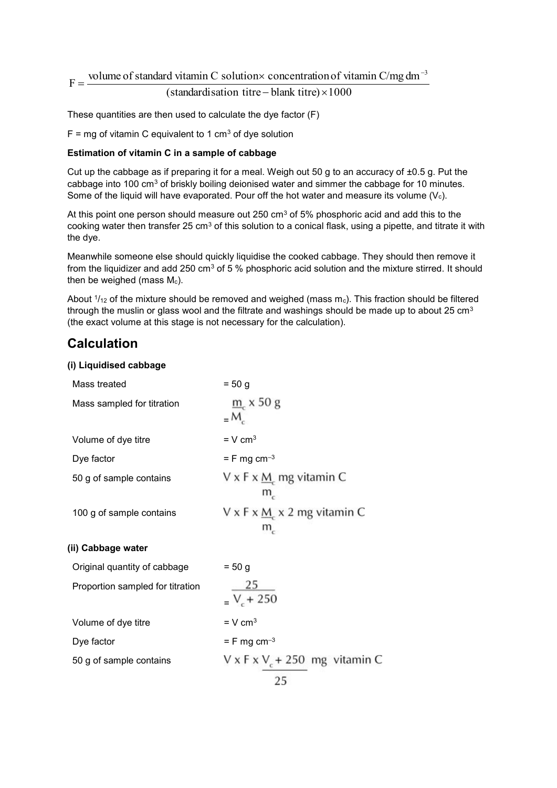## $F = \frac{\text{volume of standard vitamin C solution} \times \text{concentration of vitamin C/mg dm}}{(standard deviation time - \text{hlonk time}) \times 1000}$  $=\frac{\text{volume of standard vitamin C solution} \times \text{concentration of vitamin C/mg dm}^{-3}}{1 + \frac{1}{2} \times \frac{1}{2} \times \frac{1}{2} \times \frac{1}{2} \times \frac{1}{2} \times \frac{1}{2} \times \frac{1}{2} \times \frac{1}{2} \times \frac{1}{2} \times \frac{1}{2} \times \frac{1}{2} \times \frac{1}{2} \times \frac{1}{2} \times \frac{1}{2} \times \frac{1}{2} \times \frac{1}{2} \times \frac{1}{2} \times \frac{1}{2} \times \frac{1}{2} \times \frac{1}{2} \times \frac{1}{2} \$  $\overline{a}$

#### (standardisation titre - blank titre) $\times 1000$

These quantities are then used to calculate the dye factor (F)

 $F = mg$  of vitamin C equivalent to 1 cm<sup>3</sup> of dye solution

#### **Estimation of vitamin C in a sample of cabbage**

Cut up the cabbage as if preparing it for a meal. Weigh out 50 g to an accuracy of ±0.5 g. Put the cabbage into 100 cm<sup>3</sup> of briskly boiling deionised water and simmer the cabbage for 10 minutes. Some of the liquid will have evaporated. Pour off the hot water and measure its volume  $(V_c)$ .

At this point one person should measure out 250 cm<sup>3</sup> of 5% phosphoric acid and add this to the cooking water then transfer 25 cm<sup>3</sup> of this solution to a conical flask, using a pipette, and titrate it with the dye.

Meanwhile someone else should quickly liquidise the cooked cabbage. They should then remove it from the liquidizer and add 250 cm<sup>3</sup> of 5 % phosphoric acid solution and the mixture stirred. It should then be weighed (mass  $M_c$ ).

About  $1/12$  of the mixture should be removed and weighed (mass m $_{\rm c}$ ). This fraction should be filtered through the muslin or glass wool and the filtrate and washings should be made up to about 25 cm<sup>3</sup> (the exact volume at this stage is not necessary for the calculation).

## **Calculation**

#### **(i) Liquidised cabbage**

| $= 50 g$                                             |
|------------------------------------------------------|
| $m$ $\times$ 50 g<br>$=M_c$                          |
| $= V cm3$                                            |
| $=$ F mg cm <sup>-3</sup>                            |
| $V \times F \times M$ mg vitamin C<br>$m_c$          |
| $V \times F \times M \times 2$ mg vitamin C<br>$m_c$ |
|                                                      |
| $= 50 g$                                             |
| $\frac{25}{V_{c}+250}$                               |
| $=$ V cm <sup>3</sup>                                |
| $=$ F mg cm <sup>-3</sup>                            |
| $V \times F \times V_c + 250$ mg vitamin C<br>25     |
|                                                      |